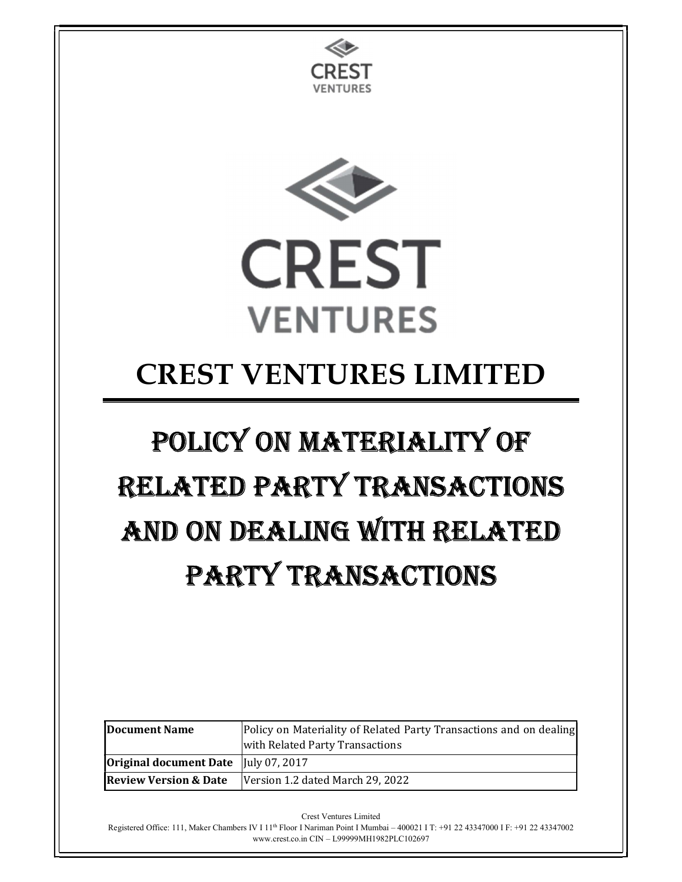



## CREST VENTURES LIMITED

# POLICY ON MATERIALITY OF RELATED PARTY TRANSACTIONS AND ON DEALING WITH RELATED PARTY TRANSACTIONS

| <b>IDocument Name</b>                                                  | Policy on Materiality of Related Party Transactions and on dealing |
|------------------------------------------------------------------------|--------------------------------------------------------------------|
|                                                                        | with Related Party Transactions                                    |
| <b>Original document Date</b> $\vert \vert \text{uly } 07, 2017 \vert$ |                                                                    |
| <b>Review Version &amp; Date</b>                                       | Version 1.2 dated March 29, 2022                                   |

Crest Ventures Limited

Registered Office: 111, Maker Chambers IV I 1<sup>th</sup> Floor I Nariman Point I Mumbai – 400021 I T: +91 22 43347000 I F: +91 22 43347002 www.crest.co.in CIN – L99999MH1982PLC102697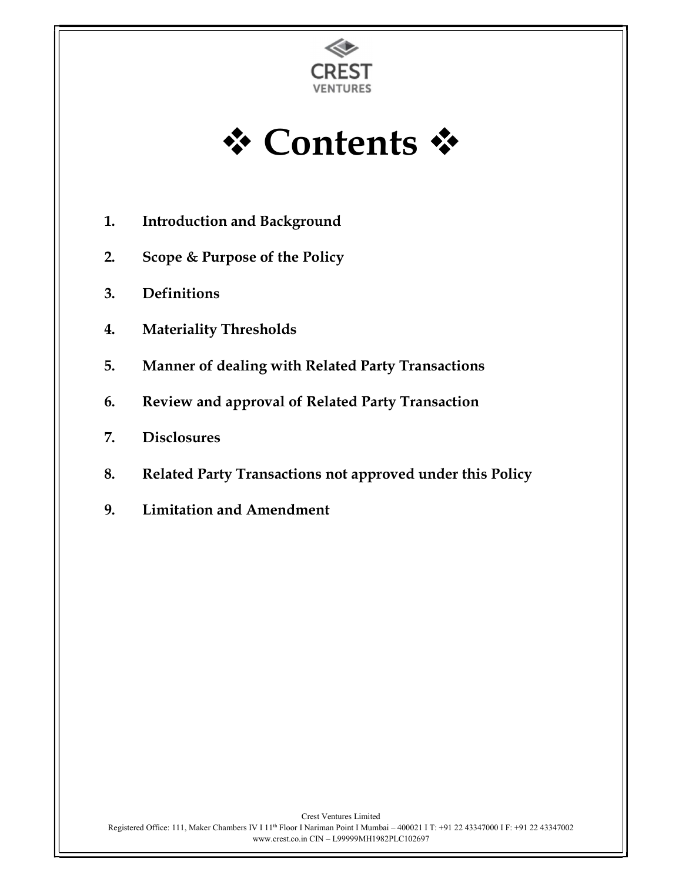

**☆ Contents ☆** 

- 1. Introduction and Background
- 2. Scope & Purpose of the Policy
- 3. Definitions
- 4. Materiality Thresholds
- 5. Manner of dealing with Related Party Transactions
- 6. Review and approval of Related Party Transaction
- 7. Disclosures
- 8. Related Party Transactions not approved under this Policy
- 9. Limitation and Amendment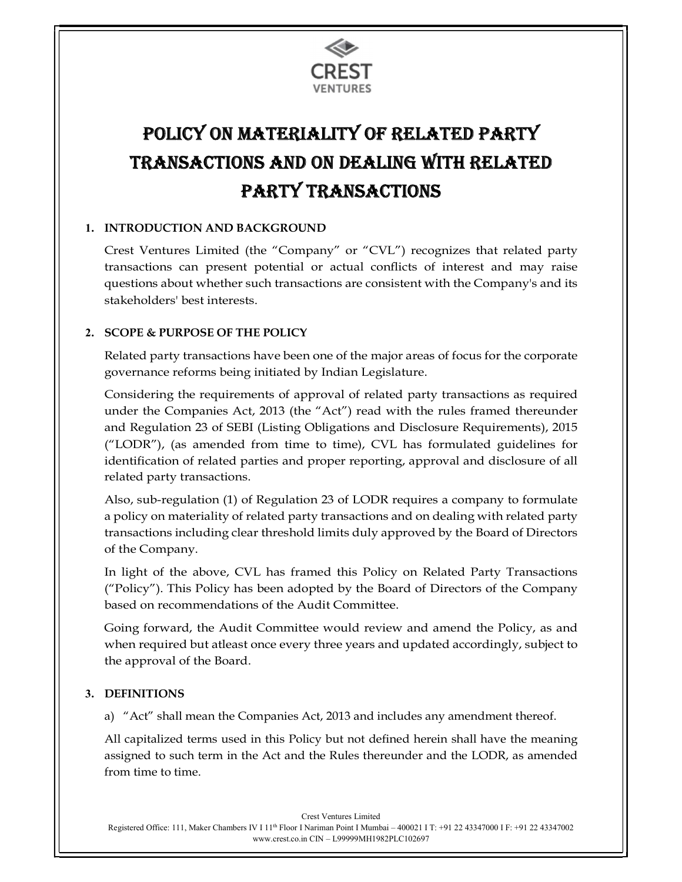

### POLICY ON MATERIALITY OF RELATED PARTY TRANSACTIONS AND ON DEALING WITH RELATED PARTY TRANSACTIONS

#### 1. INTRODUCTION AND BACKGROUND

Crest Ventures Limited (the "Company" or "CVL") recognizes that related party transactions can present potential or actual conflicts of interest and may raise questions about whether such transactions are consistent with the Company's and its stakeholders' best interests.

#### 2. SCOPE & PURPOSE OF THE POLICY

Related party transactions have been one of the major areas of focus for the corporate governance reforms being initiated by Indian Legislature.

Considering the requirements of approval of related party transactions as required under the Companies Act, 2013 (the "Act") read with the rules framed thereunder and Regulation 23 of SEBI (Listing Obligations and Disclosure Requirements), 2015 ("LODR"), (as amended from time to time), CVL has formulated guidelines for identification of related parties and proper reporting, approval and disclosure of all related party transactions.

Also, sub-regulation (1) of Regulation 23 of LODR requires a company to formulate a policy on materiality of related party transactions and on dealing with related party transactions including clear threshold limits duly approved by the Board of Directors of the Company.

In light of the above, CVL has framed this Policy on Related Party Transactions ("Policy"). This Policy has been adopted by the Board of Directors of the Company based on recommendations of the Audit Committee.

Going forward, the Audit Committee would review and amend the Policy, as and when required but atleast once every three years and updated accordingly, subject to the approval of the Board.

#### 3. DEFINITIONS

a) "Act" shall mean the Companies Act, 2013 and includes any amendment thereof.

All capitalized terms used in this Policy but not defined herein shall have the meaning assigned to such term in the Act and the Rules thereunder and the LODR, as amended from time to time.

Crest Ventures Limited Registered Office: 111, Maker Chambers IV I 11th Floor I Nariman Point I Mumbai – 400021 I T: +91 22 43347000 I F: +91 22 43347002 www.crest.co.in CIN – L99999MH1982PLC102697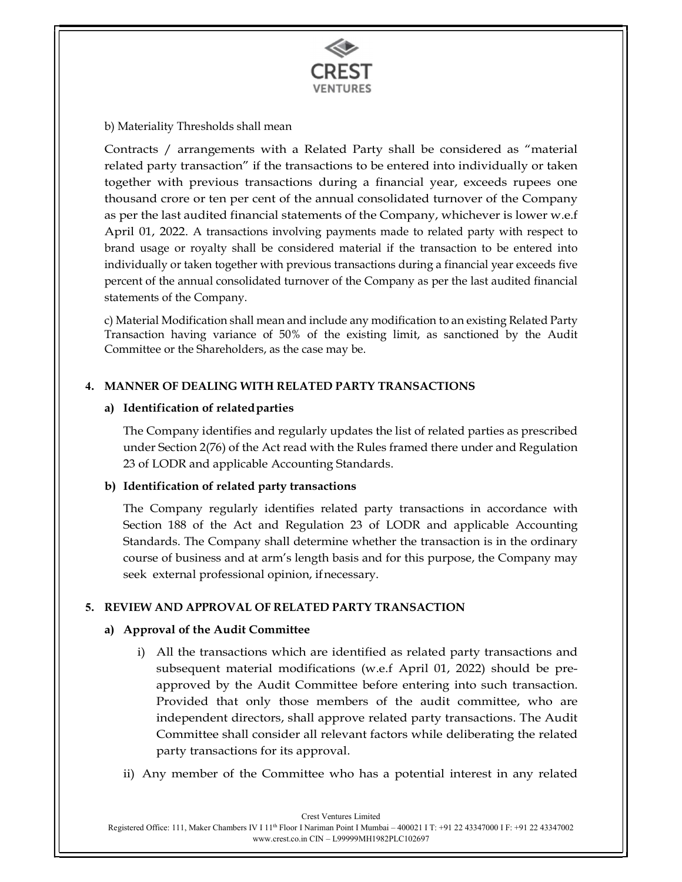

#### b) Materiality Thresholds shall mean

Contracts / arrangements with a Related Party shall be considered as "material related party transaction" if the transactions to be entered into individually or taken together with previous transactions during a financial year, exceeds rupees one thousand crore or ten per cent of the annual consolidated turnover of the Company as per the last audited financial statements of the Company, whichever is lower w.e.f April 01, 2022. A transactions involving payments made to related party with respect to brand usage or royalty shall be considered material if the transaction to be entered into individually or taken together with previous transactions during a financial year exceeds five percent of the annual consolidated turnover of the Company as per the last audited financial statements of the Company.

c) Material Modification shall mean and include any modification to an existing Related Party Transaction having variance of 50% of the existing limit, as sanctioned by the Audit Committee or the Shareholders, as the case may be.

#### 4. MANNER OF DEALING WITH RELATED PARTY TRANSACTIONS

#### a) Identification of related parties

The Company identifies and regularly updates the list of related parties as prescribed under Section 2(76) of the Act read with the Rules framed there under and Regulation 23 of LODR and applicable Accounting Standards.

#### b) Identification of related party transactions

The Company regularly identifies related party transactions in accordance with Section 188 of the Act and Regulation 23 of LODR and applicable Accounting Standards. The Company shall determine whether the transaction is in the ordinary course of business and at arm's length basis and for this purpose, the Company may seek external professional opinion, if necessary.

#### 5. REVIEW AND APPROVAL OF RELATED PARTY TRANSACTION

#### a) Approval of the Audit Committee

- i) All the transactions which are identified as related party transactions and subsequent material modifications (w.e.f April 01, 2022) should be preapproved by the Audit Committee before entering into such transaction. Provided that only those members of the audit committee, who are independent directors, shall approve related party transactions. The Audit Committee shall consider all relevant factors while deliberating the related party transactions for its approval.
- ii) Any member of the Committee who has a potential interest in any related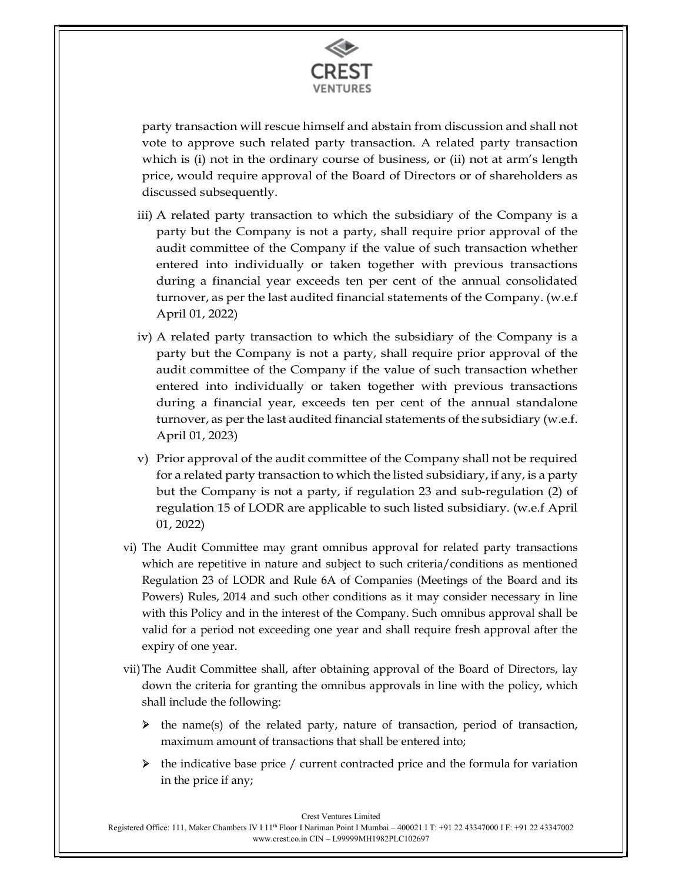

party transaction will rescue himself and abstain from discussion and shall not vote to approve such related party transaction. A related party transaction which is (i) not in the ordinary course of business, or (ii) not at arm's length price, would require approval of the Board of Directors or of shareholders as discussed subsequently.

- iii) A related party transaction to which the subsidiary of the Company is a party but the Company is not a party, shall require prior approval of the audit committee of the Company if the value of such transaction whether entered into individually or taken together with previous transactions during a financial year exceeds ten per cent of the annual consolidated turnover, as per the last audited financial statements of the Company. (w.e.f April 01, 2022)
- iv) A related party transaction to which the subsidiary of the Company is a party but the Company is not a party, shall require prior approval of the audit committee of the Company if the value of such transaction whether entered into individually or taken together with previous transactions during a financial year, exceeds ten per cent of the annual standalone turnover, as per the last audited financial statements of the subsidiary (w.e.f. April 01, 2023)
- v) Prior approval of the audit committee of the Company shall not be required for a related party transaction to which the listed subsidiary, if any, is a party but the Company is not a party, if regulation 23 and sub-regulation (2) of regulation 15 of LODR are applicable to such listed subsidiary. (w.e.f April 01, 2022)
- vi) The Audit Committee may grant omnibus approval for related party transactions which are repetitive in nature and subject to such criteria/conditions as mentioned Regulation 23 of LODR and Rule 6A of Companies (Meetings of the Board and its Powers) Rules, 2014 and such other conditions as it may consider necessary in line with this Policy and in the interest of the Company. Such omnibus approval shall be valid for a period not exceeding one year and shall require fresh approval after the expiry of one year.
- vii)The Audit Committee shall, after obtaining approval of the Board of Directors, lay down the criteria for granting the omnibus approvals in line with the policy, which shall include the following:
	- $\triangleright$  the name(s) of the related party, nature of transaction, period of transaction, maximum amount of transactions that shall be entered into;
	- $\triangleright$  the indicative base price / current contracted price and the formula for variation in the price if any;

Crest Ventures Limited

Registered Office: 111, Maker Chambers IV I 11th Floor I Nariman Point I Mumbai – 400021 I T: +91 22 43347000 I F: +91 22 43347002 www.crest.co.in CIN – L99999MH1982PLC102697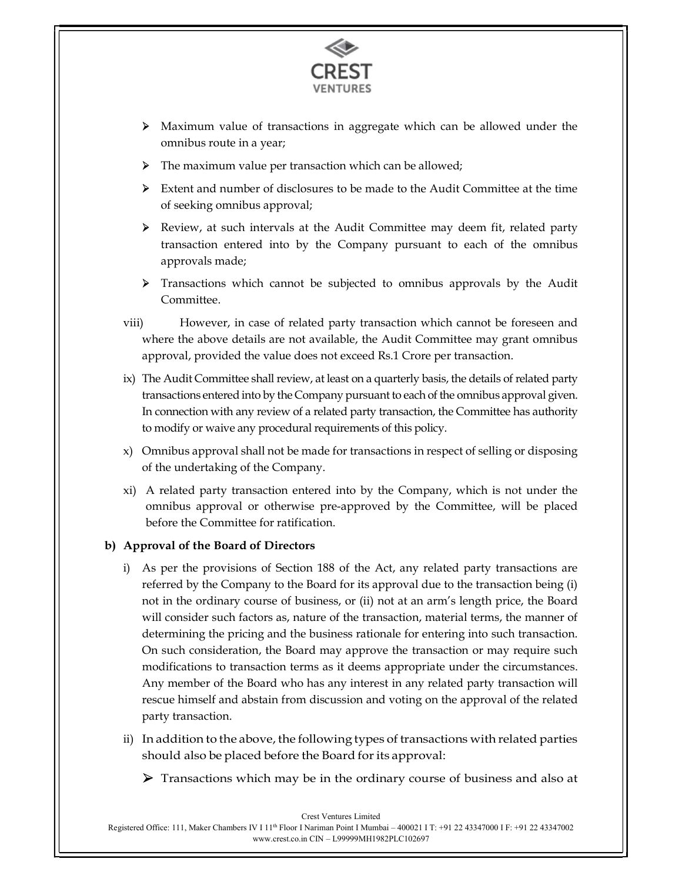

- Maximum value of transactions in aggregate which can be allowed under the omnibus route in a year;
- > The maximum value per transaction which can be allowed;
- Extent and number of disclosures to be made to the Audit Committee at the time of seeking omnibus approval;
- Review, at such intervals at the Audit Committee may deem fit, related party transaction entered into by the Company pursuant to each of the omnibus approvals made;
- Transactions which cannot be subjected to omnibus approvals by the Audit Committee.
- viii) However, in case of related party transaction which cannot be foreseen and where the above details are not available, the Audit Committee may grant omnibus approval, provided the value does not exceed Rs.1 Crore per transaction.
- ix) The Audit Committee shall review, at least on a quarterly basis, the details of related party transactions entered into by the Company pursuant to each of the omnibus approval given. In connection with any review of a related party transaction, the Committee has authority to modify or waive any procedural requirements of this policy.
- x) Omnibus approval shall not be made for transactions in respect of selling or disposing of the undertaking of the Company.
- xi) A related party transaction entered into by the Company, which is not under the omnibus approval or otherwise pre-approved by the Committee, will be placed before the Committee for ratification.

#### b) Approval of the Board of Directors

- i) As per the provisions of Section 188 of the Act, any related party transactions are referred by the Company to the Board for its approval due to the transaction being (i) not in the ordinary course of business, or (ii) not at an arm's length price, the Board will consider such factors as, nature of the transaction, material terms, the manner of determining the pricing and the business rationale for entering into such transaction. On such consideration, the Board may approve the transaction or may require such modifications to transaction terms as it deems appropriate under the circumstances. Any member of the Board who has any interest in any related party transaction will rescue himself and abstain from discussion and voting on the approval of the related party transaction.
- ii) In addition to the above, the following types of transactions with related parties should also be placed before the Board for its approval:
	- $\triangleright$  Transactions which may be in the ordinary course of business and also at

Crest Ventures Limited Registered Office: 111, Maker Chambers IV I 11th Floor I Nariman Point I Mumbai – 400021 I T: +91 22 43347000 I F: +91 22 43347002 www.crest.co.in CIN – L99999MH1982PLC102697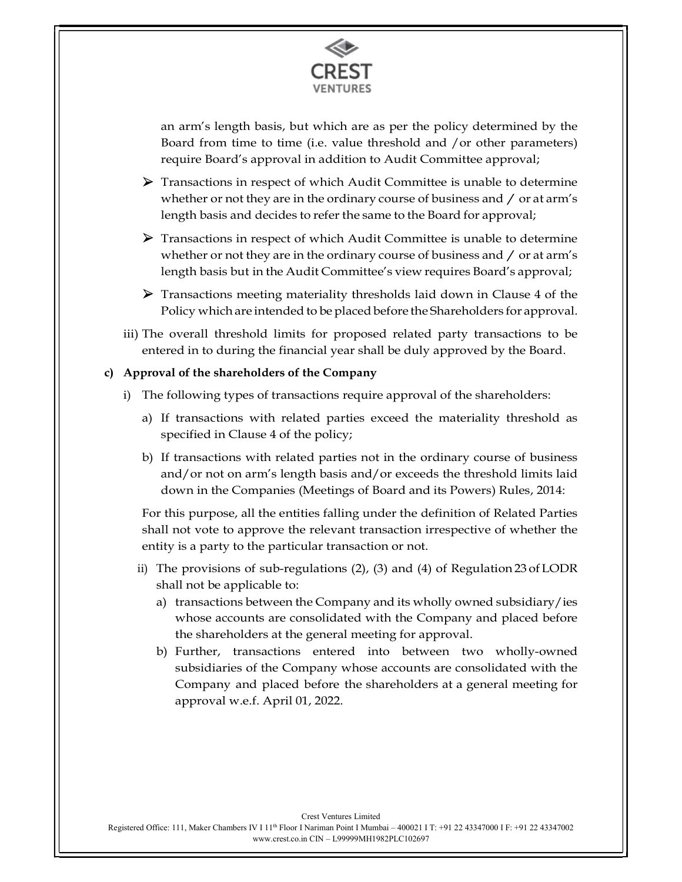

an arm's length basis, but which are as per the policy determined by the Board from time to time (i.e. value threshold and /or other parameters) require Board's approval in addition to Audit Committee approval;

- $\triangleright$  Transactions in respect of which Audit Committee is unable to determine whether or not they are in the ordinary course of business and  $\gamma$  or at arm's length basis and decides to refer the same to the Board for approval;
- Transactions in respect of which Audit Committee is unable to determine whether or not they are in the ordinary course of business and  $\gamma$  or at arm's length basis but in the Audit Committee's view requires Board's approval;
- $\triangleright$  Transactions meeting materiality thresholds laid down in Clause 4 of the Policy which are intended to be placed before the Shareholders for approval.
- iii) The overall threshold limits for proposed related party transactions to be entered in to during the financial year shall be duly approved by the Board.

#### c) Approval of the shareholders of the Company

- i) The following types of transactions require approval of the shareholders:
	- a) If transactions with related parties exceed the materiality threshold as specified in Clause 4 of the policy;
	- b) If transactions with related parties not in the ordinary course of business and/or not on arm's length basis and/or exceeds the threshold limits laid down in the Companies (Meetings of Board and its Powers) Rules, 2014:

For this purpose, all the entities falling under the definition of Related Parties shall not vote to approve the relevant transaction irrespective of whether the entity is a party to the particular transaction or not.

- ii) The provisions of sub-regulations (2), (3) and (4) of Regulation 23 of LODR shall not be applicable to:
	- a) transactions between the Company and its wholly owned subsidiary/ies whose accounts are consolidated with the Company and placed before the shareholders at the general meeting for approval.
	- b) Further, transactions entered into between two wholly-owned subsidiaries of the Company whose accounts are consolidated with the Company and placed before the shareholders at a general meeting for approval w.e.f. April 01, 2022.

Crest Ventures Limited Registered Office: 111, Maker Chambers IV I 11th Floor I Nariman Point I Mumbai – 400021 I T: +91 22 43347000 I F: +91 22 43347002 www.crest.co.in CIN – L99999MH1982PLC102697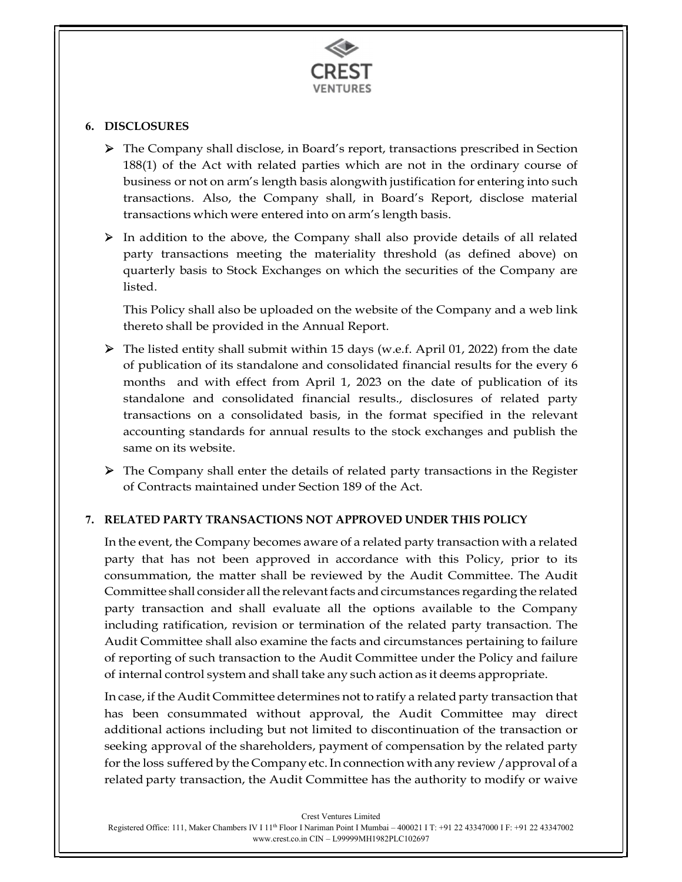

#### 6. DISCLOSURES

 The Company shall disclose, in Board's report, transactions prescribed in Section 188(1) of the Act with related parties which are not in the ordinary course of business or not on arm's length basis alongwith justification for entering into such transactions. Also, the Company shall, in Board's Report, disclose material transactions which were entered into on arm's length basis.

 $\triangleright$  In addition to the above, the Company shall also provide details of all related party transactions meeting the materiality threshold (as defined above) on quarterly basis to Stock Exchanges on which the securities of the Company are listed.

This Policy shall also be uploaded on the website of the Company and a web link thereto shall be provided in the Annual Report.

 The listed entity shall submit within 15 days (w.e.f. April 01, 2022) from the date of publication of its standalone and consolidated financial results for the every 6 months and with effect from April 1, 2023 on the date of publication of its standalone and consolidated financial results., disclosures of related party transactions on a consolidated basis, in the format specified in the relevant accounting standards for annual results to the stock exchanges and publish the same on its website.

 The Company shall enter the details of related party transactions in the Register of Contracts maintained under Section 189 of the Act.

#### 7. RELATED PARTY TRANSACTIONS NOT APPROVED UNDER THIS POLICY

In the event, the Company becomes aware of a related party transaction with a related party that has not been approved in accordance with this Policy, prior to its consummation, the matter shall be reviewed by the Audit Committee. The Audit Committee shall consider all the relevant facts and circumstances regarding the related party transaction and shall evaluate all the options available to the Company including ratification, revision or termination of the related party transaction. The Audit Committee shall also examine the facts and circumstances pertaining to failure of reporting of such transaction to the Audit Committee under the Policy and failure of internal control system and shall take any such action as it deems appropriate.

In case, if the Audit Committee determines not to ratify a related party transaction that has been consummated without approval, the Audit Committee may direct additional actions including but not limited to discontinuation of the transaction or seeking approval of the shareholders, payment of compensation by the related party for the loss suffered by the Company etc. In connection with any review /approval of a related party transaction, the Audit Committee has the authority to modify or waive

Crest Ventures Limited

Registered Office: 111, Maker Chambers IV I 11th Floor I Nariman Point I Mumbai – 400021 I T: +91 22 43347000 I F: +91 22 43347002 www.crest.co.in CIN – L99999MH1982PLC102697